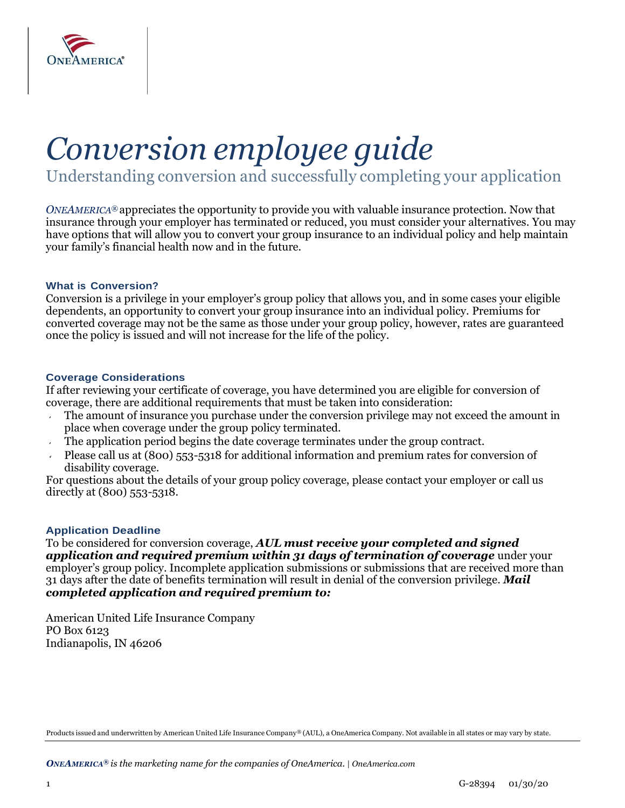

# *Conversion employee guide*

Understanding conversion and successfully completing your application

*ONEAMERICA®* appreciates the opportunity to provide you with valuable insurance protection. Now that insurance through your employer has terminated or reduced, you must consider your alternatives. You may have options that will allow you to convert your group insurance to an individual policy and help maintain your family's financial health now and in the future.

#### **What is Conversion?**

Conversion is a privilege in your employer's group policy that allows you, and in some cases your eligible dependents, an opportunity to convert your group insurance into an individual policy. Premiums for converted coverage may not be the same as those under your group policy, however, rates are guaranteed once the policy is issued and will not increase for the life of the policy.

#### **Coverage Considerations**

If after reviewing your certificate of coverage, you have determined you are eligible for conversion of coverage, there are additional requirements that must be taken into consideration:

- The amount of insurance you purchase under the conversion privilege may not exceed the amount in place when coverage under the group policy terminated.
- The application period begins the date coverage terminates under the group contract.
- Please call us at (800) 553-5318 for additional information and premium rates for conversion of disability coverage.

For questions about the details of your group policy coverage, please contact your employer or call us directly at (800) 553-5318.

#### **Application Deadline**

To be considered for conversion coverage, *AUL must receive your completed and signed application and required premium within 31 days of termination of coverage* under your employer's group policy. Incomplete application submissions or submissions that are received more than 31 days after the date of benefits termination will result in denial of the conversion privilege. *Mail completed application and required premium to:*

American United Life Insurance Company PO Box 6123 Indianapolis, IN 46206

Products issued and underwritten by American United Life Insurance Company® (AUL), a OneAmerica Company. Not available in all states or may vary by state.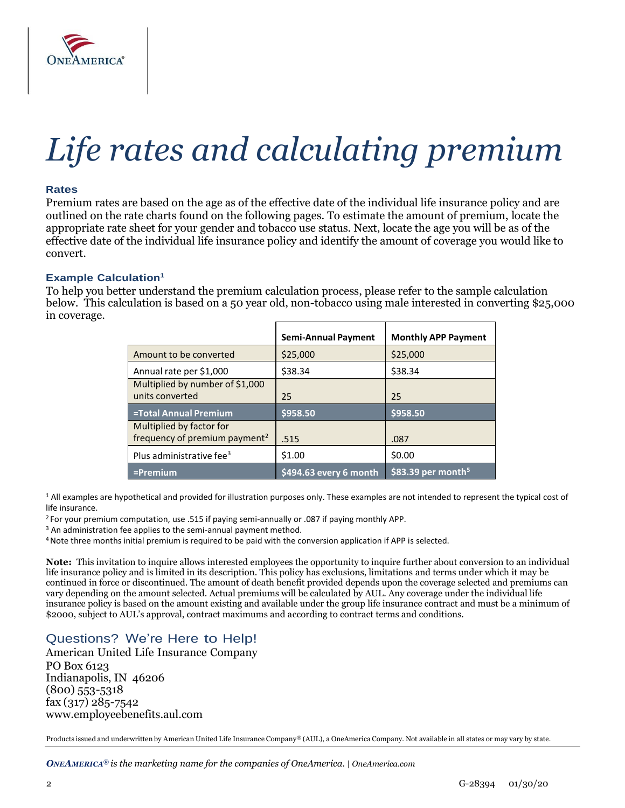

# *Life rates and calculating premium*

#### **Rates**

Premium rates are based on the age as of the effective date of the individual life insurance policy and are outlined on the rate charts found on the following pages. To estimate the amount of premium, locate the appropriate rate sheet for your gender and tobacco use status. Next, locate the age you will be as of the effective date of the individual life insurance policy and identify the amount of coverage you would like to convert.

#### **Example Calculation 1**

To help you better understand the premium calculation process, please refer to the sample calculation below. This calculation is based on a 50 year old, non-tobacco using male interested in converting \$25,000 in coverage.

|                                                                       | <b>Semi-Annual Payment</b> | <b>Monthly APP Payment</b>     |
|-----------------------------------------------------------------------|----------------------------|--------------------------------|
| Amount to be converted                                                | \$25,000                   | \$25,000                       |
| Annual rate per \$1,000                                               | \$38.34                    | \$38.34                        |
| Multiplied by number of \$1,000<br>units converted                    | 25                         | 25                             |
| <b>=Total Annual Premium</b>                                          | \$958.50                   | \$958.50                       |
| Multiplied by factor for<br>frequency of premium payment <sup>2</sup> | .515                       | .087                           |
| Plus administrative fee <sup>3</sup>                                  | \$1.00                     | \$0.00                         |
| $=$ Premium                                                           | \$494.63 every 6 month     | \$83.39 per month <sup>5</sup> |

<sup>1</sup> All examples are hypothetical and provided for illustration purposes only. These examples are not intended to represent the typical cost of life insurance.

<sup>2</sup> For your premium computation, use .515 if paying semi-annually or .087 if paying monthly APP.

<sup>3</sup> An administration fee applies to the semi-annual payment method.

<sup>4</sup>Note three months initial premium is required to be paid with the conversion application if APP is selected.

**Note:** This invitation to inquire allows interested employees the opportunity to inquire further about conversion to an individual life insurance policy and is limited in its description. This policy has exclusions, limitations and terms under which it may be continued in force or discontinued. The amount of death benefit provided depends upon the coverage selected and premiums can vary depending on the amount selected. Actual premiums will be calculated by AUL. Any coverage under the individual life insurance policy is based on the amount existing and available under the group life insurance contract and must be a minimum of \$2000, subject to AUL's approval, contract maximums and according to contract terms and conditions.

### Questions? We're Here to Help!

American United Life Insurance Company PO Box 6123 Indianapolis, IN 46206 (800) 553-5318 fax (317) 285-754[2](http://www.employeebenefits.aul.com/) [www.employeebenefits.aul.com](http://www.employeebenefits.aul.com/)

Products issued and underwritten by American United Life Insurance Company® (AUL), a OneAmerica Company. Not available in all states or may vary by state.

*ONEAMERICA® is the marketing name for the companies of OneAmerica. | OneAmerica.com*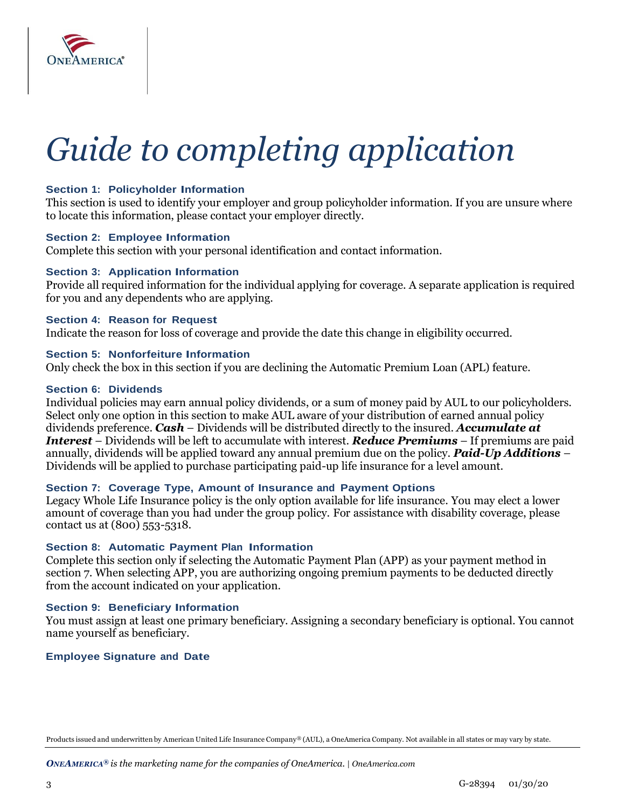

# *Guide to completing application*

#### **Section 1: Policyholder Information**

This section is used to identify your employer and group policyholder information. If you are unsure where to locate this information, please contact your employer directly.

#### **Section 2: Employee Information**

Complete this section with your personal identification and contact information.

#### **Section 3: Application Information**

Provide all required information for the individual applying for coverage. A separate application is required for you and any dependents who are applying.

#### **Section 4: Reason for Request**

Indicate the reason for loss of coverage and provide the date this change in eligibility occurred.

#### **Section 5: Nonforfeiture Information**

Only check the box in this section if you are declining the Automatic Premium Loan (APL) feature.

#### **Section 6: Dividends**

Individual policies may earn annual policy dividends, or a sum of money paid by AUL to our policyholders. Select only one option in this section to make AUL aware of your distribution of earned annual policy dividends preference. *Cash* – Dividends will be distributed directly to the insured. *Accumulate at Interest* – Dividends will be left to accumulate with interest. *Reduce Premiums* – If premiums are paid annually, dividends will be applied toward any annual premium due on the policy. *Paid-Up Additions* – Dividends will be applied to purchase participating paid-up life insurance for a level amount.

#### **Section 7: Coverage Type, Amount of Insurance and Payment Options**

Legacy Whole Life Insurance policy is the only option available for life insurance. You may elect a lower amount of coverage than you had under the group policy. For assistance with disability coverage, please contact us at (800) 553-5318.

#### **Section 8: Automatic Payment Plan Information**

Complete this section only if selecting the Automatic Payment Plan (APP) as your payment method in section 7. When selecting APP, you are authorizing ongoing premium payments to be deducted directly from the account indicated on your application.

#### **Section 9: Beneficiary Information**

You must assign at least one primary beneficiary. Assigning a secondary beneficiary is optional. You cannot name yourself as beneficiary.

#### **Employee Signature and Date**

Products issued and underwritten by American United Life Insurance Company® (AUL), a OneAmerica Company. Not available in all states or may vary by state.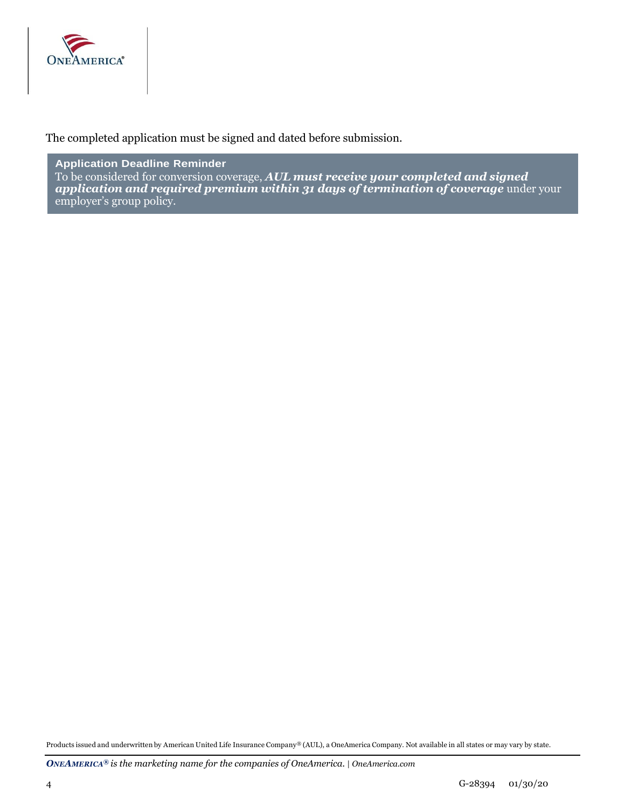

The completed application must be signed and dated before submission.

**Application Deadline Reminder** To be considered for conversion coverage, *AUL must receive your completed and signed application and required premium within 31 days of termination of coverage* under your employer's group policy.

Products issued and underwritten by American United Life Insurance Company® (AUL), a OneAmerica Company. Not available in all states or may vary by state.